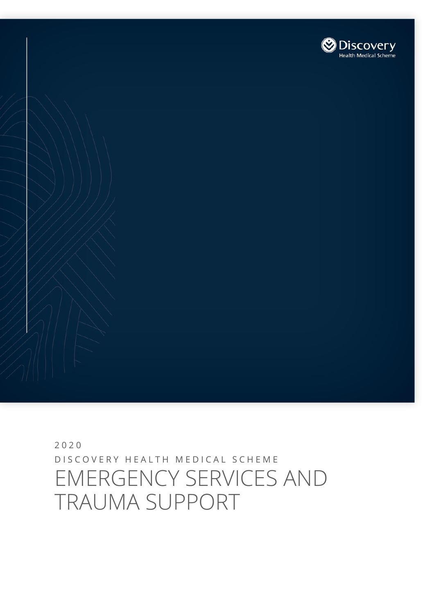# 2020 DISCOVERY HEALTH MEDICAL SCHEME EMERGENCY SERVICES AND TRAUMA SUPPORT

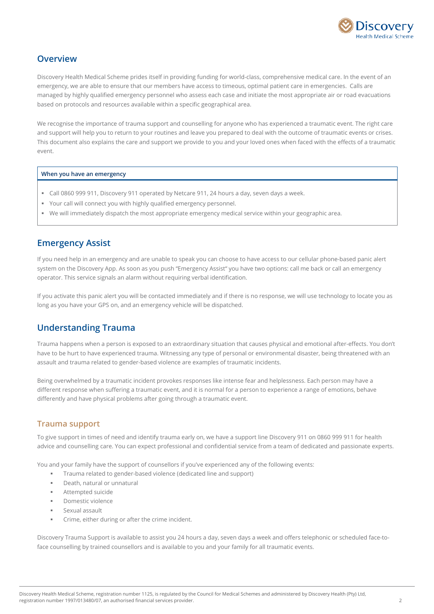

### **Overview**

Discovery Health Medical Scheme prides itself in providing funding for world-class, comprehensive medical care. In the event of an emergency, we are able to ensure that our members have access to timeous, optimal patient care in emergencies. Calls are managed by highly qualified emergency personnel who assess each case and initiate the most appropriate air or road evacuations based on protocols and resources available within a specific geographical area.

We recognise the importance of trauma support and counselling for anyone who has experienced a traumatic event. The right care and support will help you to return to your routines and leave you prepared to deal with the outcome of traumatic events or crises. This document also explains the care and support we provide to you and your loved ones when faced with the effects of a traumatic event.

**When you have an emergency** 

- Call 0860 999 911, Discovery 911 operated by Netcare 911, 24 hours a day, seven days a week.
- Your call will connect you with highly qualified emergency personnel.
- We will immediately dispatch the most appropriate emergency medical service within your geographic area.

#### **Emergency Assist**

If you need help in an emergency and are unable to speak you can choose to have access to our cellular phone-based panic alert system on the Discovery App. As soon as you push "Emergency Assist" you have two options: call me back or call an emergency operator. This service signals an alarm without requiring verbal identification.

If you activate this panic alert you will be contacted immediately and if there is no response, we will use technology to locate you as long as you have your GPS on, and an emergency vehicle will be dispatched.

### **Understanding Trauma**

Trauma happens when a person is exposed to an extraordinary situation that causes physical and emotional after-effects. You don't have to be hurt to have experienced trauma. Witnessing any type of personal or environmental disaster, being threatened with an assault and trauma related to gender-based violence are examples of traumatic incidents.

Being overwhelmed by a traumatic incident provokes responses like intense fear and helplessness. Each person may have a different response when suffering a traumatic event, and it is normal for a person to experience a range of emotions, behave differently and have physical problems after going through a traumatic event.

#### **Trauma support**

To give support in times of need and identify trauma early on, we have a support line Discovery 911 on 0860 999 911 for health advice and counselling care. You can expect professional and confidential service from a team of dedicated and passionate experts.

You and your family have the support of counsellors if you've experienced any of the following events:

- **Trauma related to gender-based violence (dedicated line and support)**
- Death, natural or unnatural
- Attempted suicide
- Domestic violence
- Sexual assault
- Crime, either during or after the crime incident.

Discovery Trauma Support is available to assist you 24 hours a day, seven days a week and offers telephonic or scheduled face-toface counselling by trained counsellors and is available to you and your family for all traumatic events.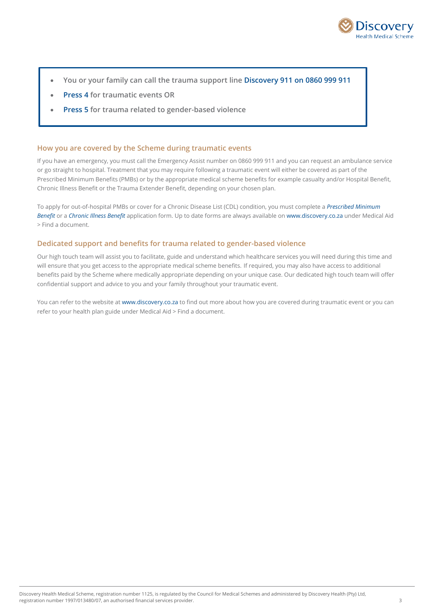

- **You or your family can call the trauma support line Discovery 911 on 0860 999 911**
- **Press 4 for traumatic events OR**
- **Press 5 for trauma related to gender-based violence**

#### **How you are covered by the Scheme during traumatic events**

If you have an emergency, you must call the Emergency Assist number on 0860 999 911 and you can request an ambulance service or go straight to hospital. Treatment that you may require following a traumatic event will either be covered as part of the Prescribed Minimum Benefits (PMBs) or by the appropriate medical scheme benefits for example casualty and/or Hospital Benefit, Chronic Illness Benefit or the Trauma Extender Benefit, depending on your chosen plan.

To apply for out-of-hospital PMBs or cover for a Chronic Disease List (CDL) condition, you must complete a *Prescribed Minimum Benefit* or a *Chronic Illness Benefit* application form. Up to date forms are always available on [www.discovery.co.za](http://www.discovery.co.za/) under Medical Aid > Find a document.

#### **Dedicated support and benefits for trauma related to gender-based violence**

Our high touch team will assist you to facilitate, guide and understand which healthcare services you will need during this time and will ensure that you get access to the appropriate medical scheme benefits. If required, you may also have access to additional benefits paid by the Scheme where medically appropriate depending on your unique case. Our dedicated high touch team will offer confidential support and advice to you and your family throughout your traumatic event.

You can refer to the website a[t www.discovery.co.za](http://www.discovery.co.za/) to find out more about how you are covered during traumatic event or you can refer to your health plan guide under Medical Aid > Find a document.